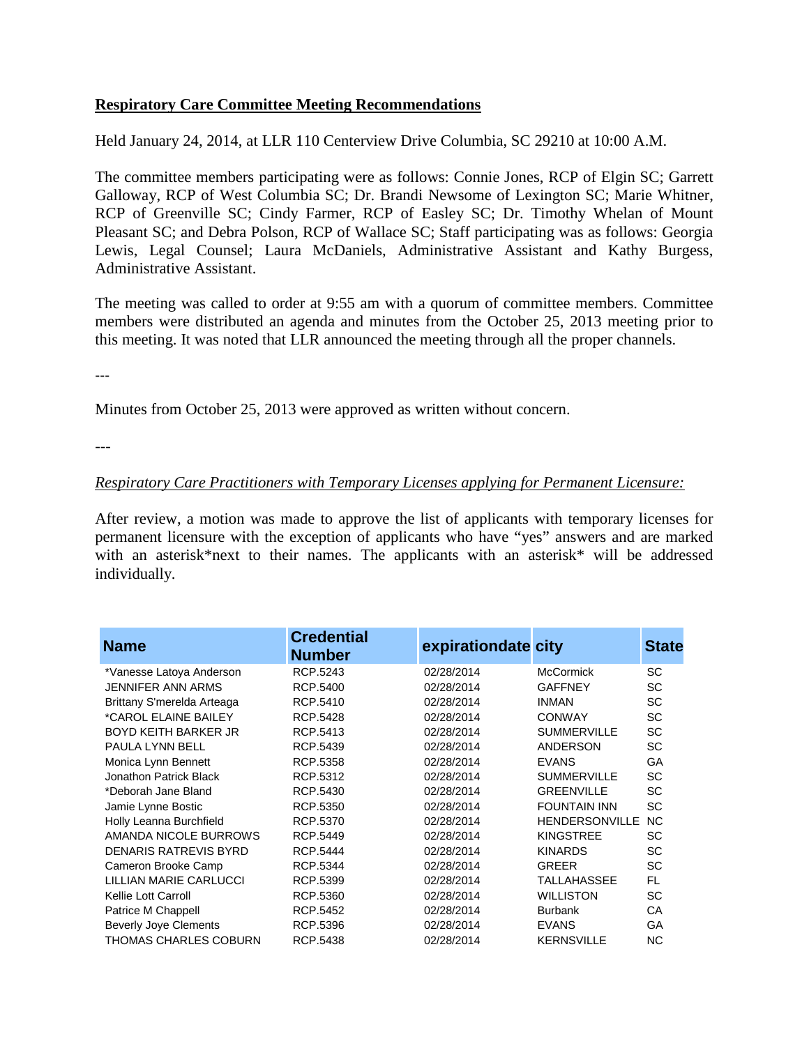## **Respiratory Care Committee Meeting Recommendations**

Held January 24, 2014, at LLR 110 Centerview Drive Columbia, SC 29210 at 10:00 A.M.

The committee members participating were as follows: Connie Jones, RCP of Elgin SC; Garrett Galloway, RCP of West Columbia SC; Dr. Brandi Newsome of Lexington SC; Marie Whitner, RCP of Greenville SC; Cindy Farmer, RCP of Easley SC; Dr. Timothy Whelan of Mount Pleasant SC; and Debra Polson, RCP of Wallace SC; Staff participating was as follows: Georgia Lewis, Legal Counsel; Laura McDaniels, Administrative Assistant and Kathy Burgess, Administrative Assistant.

The meeting was called to order at 9:55 am with a quorum of committee members. Committee members were distributed an agenda and minutes from the October 25, 2013 meeting prior to this meeting. It was noted that LLR announced the meeting through all the proper channels.

---

Minutes from October 25, 2013 were approved as written without concern.

---

## *Respiratory Care Practitioners with Temporary Licenses applying for Permanent Licensure:*

After review, a motion was made to approve the list of applicants with temporary licenses for permanent licensure with the exception of applicants who have "yes" answers and are marked with an asterisk\*next to their names. The applicants with an asterisk\* will be addressed individually.

| <b>Name</b>                  | <b>Credential</b><br><b>Number</b> | expirationdate city |                       | <b>State</b> |
|------------------------------|------------------------------------|---------------------|-----------------------|--------------|
| *Vanesse Latoya Anderson     | RCP.5243                           | 02/28/2014          | <b>McCormick</b>      | SC           |
| <b>JENNIFER ANN ARMS</b>     | RCP.5400                           | 02/28/2014          | <b>GAFFNEY</b>        | <b>SC</b>    |
| Brittany S'merelda Arteaga   | RCP.5410                           | 02/28/2014          | <b>INMAN</b>          | <b>SC</b>    |
| *CAROL ELAINE BAILEY         | <b>RCP.5428</b>                    | 02/28/2014          | <b>CONWAY</b>         | <b>SC</b>    |
| <b>BOYD KEITH BARKER JR</b>  | RCP.5413                           | 02/28/2014          | <b>SUMMERVILLE</b>    | <b>SC</b>    |
| PAULA LYNN BELL              | RCP.5439                           | 02/28/2014          | ANDERSON              | SC           |
| Monica Lynn Bennett          | RCP.5358                           | 02/28/2014          | <b>EVANS</b>          | GA           |
| Jonathon Patrick Black       | RCP.5312                           | 02/28/2014          | <b>SUMMERVILLE</b>    | <b>SC</b>    |
| *Deborah Jane Bland          | RCP.5430                           | 02/28/2014          | <b>GREENVILLE</b>     | <b>SC</b>    |
| Jamie Lynne Bostic           | RCP.5350                           | 02/28/2014          | <b>FOUNTAIN INN</b>   | <b>SC</b>    |
| Holly Leanna Burchfield      | RCP.5370                           | 02/28/2014          | <b>HENDERSONVILLE</b> | <b>NC</b>    |
| AMANDA NICOLE BURROWS        | RCP.5449                           | 02/28/2014          | <b>KINGSTREE</b>      | <b>SC</b>    |
| <b>DENARIS RATREVIS BYRD</b> | RCP.5444                           | 02/28/2014          | <b>KINARDS</b>        | <b>SC</b>    |
| Cameron Brooke Camp          | RCP.5344                           | 02/28/2014          | <b>GREER</b>          | <b>SC</b>    |
| LILLIAN MARIE CARLUCCI       | RCP.5399                           | 02/28/2014          | <b>TALLAHASSEE</b>    | <b>FL</b>    |
| Kellie Lott Carroll          | RCP.5360                           | 02/28/2014          | <b>WILLISTON</b>      | <b>SC</b>    |
| Patrice M Chappell           | RCP.5452                           | 02/28/2014          | <b>Burbank</b>        | СA           |
| <b>Beverly Joye Clements</b> | RCP.5396                           | 02/28/2014          | <b>EVANS</b>          | GA           |
| THOMAS CHARLES COBURN        | RCP.5438                           | 02/28/2014          | <b>KERNSVILLE</b>     | NC           |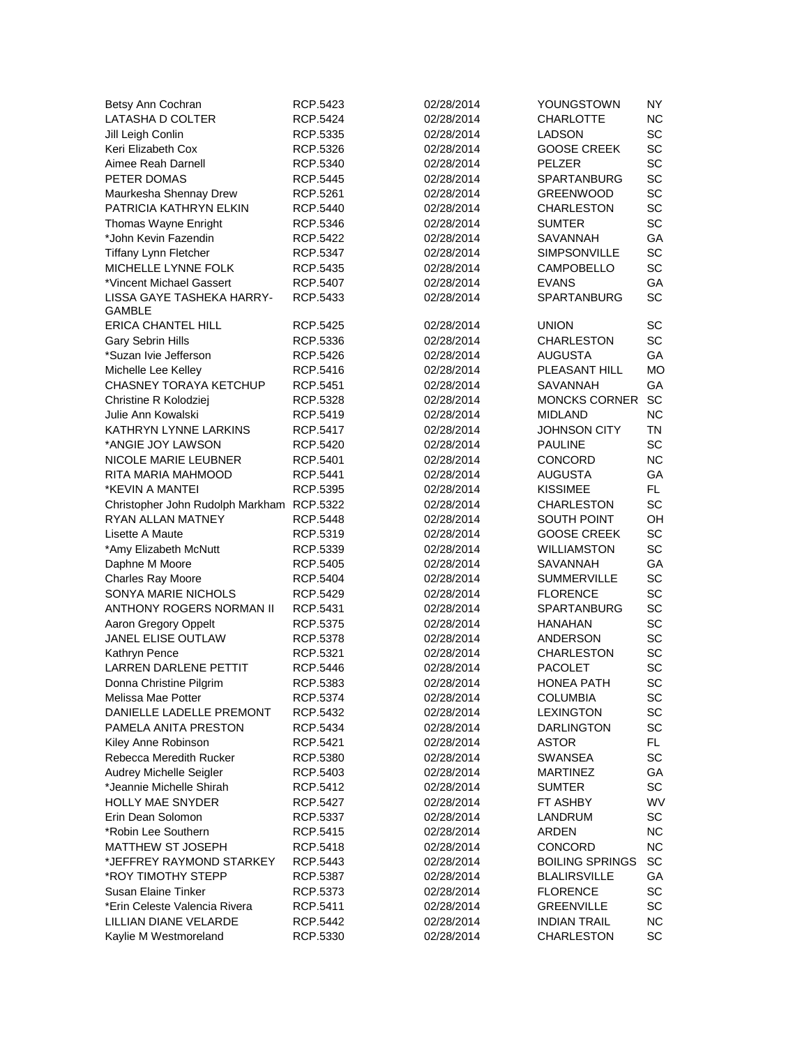| Betsy Ann Cochran                         | RCP.5423                    | 02/28/2014 | YOUNGSTOWN             | NY.       |
|-------------------------------------------|-----------------------------|------------|------------------------|-----------|
| LATASHA D COLTER                          | RCP.5424                    | 02/28/2014 | <b>CHARLOTTE</b>       | <b>NC</b> |
| Jill Leigh Conlin                         | RCP.5335                    | 02/28/2014 | <b>LADSON</b>          | SC        |
| Keri Elizabeth Cox                        | RCP.5326                    | 02/28/2014 | <b>GOOSE CREEK</b>     | SC        |
| Aimee Reah Darnell                        | RCP.5340                    | 02/28/2014 | <b>PELZER</b>          | SC        |
| PETER DOMAS                               | RCP.5445                    | 02/28/2014 | <b>SPARTANBURG</b>     | SC        |
| Maurkesha Shennay Drew                    | RCP.5261                    | 02/28/2014 | <b>GREENWOOD</b>       | SC        |
| PATRICIA KATHRYN ELKIN                    | RCP.5440                    | 02/28/2014 | <b>CHARLESTON</b>      | SC        |
| Thomas Wayne Enright                      | RCP.5346                    | 02/28/2014 | <b>SUMTER</b>          | SC        |
| *John Kevin Fazendin                      | RCP.5422                    | 02/28/2014 | <b>SAVANNAH</b>        | GA        |
| <b>Tiffany Lynn Fletcher</b>              | RCP.5347                    | 02/28/2014 | SIMPSONVILLE           | SC        |
| MICHELLE LYNNE FOLK                       | RCP.5435                    | 02/28/2014 | <b>CAMPOBELLO</b>      | SC        |
| *Vincent Michael Gassert                  | <b>RCP.5407</b>             | 02/28/2014 | <b>EVANS</b>           | GA        |
| LISSA GAYE TASHEKA HARRY-                 | RCP.5433                    | 02/28/2014 | <b>SPARTANBURG</b>     | <b>SC</b> |
| GAMBLE                                    |                             |            |                        |           |
| <b>ERICA CHANTEL HILL</b>                 | RCP.5425                    | 02/28/2014 | <b>UNION</b>           | SC        |
| Gary Sebrin Hills                         | RCP.5336                    | 02/28/2014 | <b>CHARLESTON</b>      | SC        |
| *Suzan Ivie Jefferson                     | RCP.5426                    | 02/28/2014 | <b>AUGUSTA</b>         | GA        |
| Michelle Lee Kelley                       | RCP.5416                    | 02/28/2014 | PLEASANT HILL          | <b>MO</b> |
| CHASNEY TORAYA KETCHUP                    | RCP.5451                    | 02/28/2014 | SAVANNAH               | GA        |
| Christine R Kolodziej                     | RCP.5328                    | 02/28/2014 | <b>MONCKS CORNER</b>   | SC        |
| Julie Ann Kowalski                        | RCP.5419                    | 02/28/2014 | <b>MIDLAND</b>         | <b>NC</b> |
| KATHRYN LYNNE LARKINS                     | RCP.5417                    | 02/28/2014 | <b>JOHNSON CITY</b>    | TN        |
| *ANGIE JOY LAWSON                         | RCP.5420                    | 02/28/2014 | PAULINE                | SC        |
| NICOLE MARIE LEUBNER                      | RCP.5401                    | 02/28/2014 | CONCORD                | <b>NC</b> |
| RITA MARIA MAHMOOD                        | RCP.5441                    | 02/28/2014 | AUGUSTA                | GA        |
| *KEVIN A MANTEI                           | RCP.5395                    | 02/28/2014 | <b>KISSIMEE</b>        | FL.       |
| Christopher John Rudolph Markham RCP.5322 |                             | 02/28/2014 | <b>CHARLESTON</b>      | SC        |
| RYAN ALLAN MATNEY                         | <b>RCP.5448</b>             | 02/28/2014 | <b>SOUTH POINT</b>     | OH        |
| Lisette A Maute                           | RCP.5319                    | 02/28/2014 | <b>GOOSE CREEK</b>     | SC        |
| *Amy Elizabeth McNutt                     | RCP.5339                    | 02/28/2014 | WILLIAMSTON            | SC        |
|                                           |                             |            | <b>SAVANNAH</b>        | GA        |
| Daphne M Moore<br>Charles Ray Moore       | RCP.5405<br>RCP.5404        | 02/28/2014 | <b>SUMMERVILLE</b>     | SC        |
| SONYA MARIE NICHOLS                       |                             | 02/28/2014 | <b>FLORENCE</b>        | SC        |
| ANTHONY ROGERS NORMAN II                  | RCP.5429<br>RCP.5431        | 02/28/2014 | SPARTANBURG            | SC        |
|                                           |                             | 02/28/2014 | <b>HANAHAN</b>         |           |
| Aaron Gregory Oppelt                      | RCP.5375                    | 02/28/2014 |                        | SC<br>SC  |
| JANEL ELISE OUTLAW                        | RCP.5378                    | 02/28/2014 | <b>ANDERSON</b>        |           |
| Kathryn Pence                             | RCP.5321<br><b>RCP.5446</b> | 02/28/2014 | <b>CHARLESTON</b>      | SC<br>SC  |
| <b>LARREN DARLENE PETTIT</b>              |                             | 02/28/2014 | PACOLET                | <b>SC</b> |
| Donna Christine Pilgrim                   | RCP.5383                    | 02/28/2014 | <b>HONEA PATH</b>      |           |
| Melissa Mae Potter                        | RCP.5374                    | 02/28/2014 | <b>COLUMBIA</b>        | SC        |
| DANIELLE LADELLE PREMONT                  | RCP.5432                    | 02/28/2014 | <b>LEXINGTON</b>       | SC        |
| PAMELA ANITA PRESTON                      | RCP.5434                    | 02/28/2014 | <b>DARLINGTON</b>      | SC        |
| Kiley Anne Robinson                       | RCP.5421                    | 02/28/2014 | <b>ASTOR</b>           | FL.       |
| Rebecca Meredith Rucker                   | RCP.5380                    | 02/28/2014 | SWANSEA                | SC        |
| Audrey Michelle Seigler                   | RCP.5403                    | 02/28/2014 | <b>MARTINEZ</b>        | GА        |
| *Jeannie Michelle Shirah                  | RCP.5412                    | 02/28/2014 | <b>SUMTER</b>          | SC        |
| <b>HOLLY MAE SNYDER</b>                   | RCP.5427                    | 02/28/2014 | FT ASHBY               | WV        |
| Erin Dean Solomon                         | RCP.5337                    | 02/28/2014 | LANDRUM                | SC        |
| *Robin Lee Southern                       | RCP.5415                    | 02/28/2014 | <b>ARDEN</b>           | ΝC        |
| MATTHEW ST JOSEPH                         | RCP.5418                    | 02/28/2014 | CONCORD                | ΝC        |
| *JEFFREY RAYMOND STARKEY                  | RCP.5443                    | 02/28/2014 | <b>BOILING SPRINGS</b> | SC        |
| *ROY TIMOTHY STEPP                        | RCP.5387                    | 02/28/2014 | <b>BLALIRSVILLE</b>    | GА        |
| <b>Susan Elaine Tinker</b>                | RCP.5373                    | 02/28/2014 | <b>FLORENCE</b>        | SC        |
| *Erin Celeste Valencia Rivera             | RCP.5411                    | 02/28/2014 | <b>GREENVILLE</b>      | SC        |
| LILLIAN DIANE VELARDE                     | RCP.5442                    | 02/28/2014 | <b>INDIAN TRAIL</b>    | ΝC        |
| Kaylie M Westmoreland                     | RCP.5330                    | 02/28/2014 | <b>CHARLESTON</b>      | SC        |